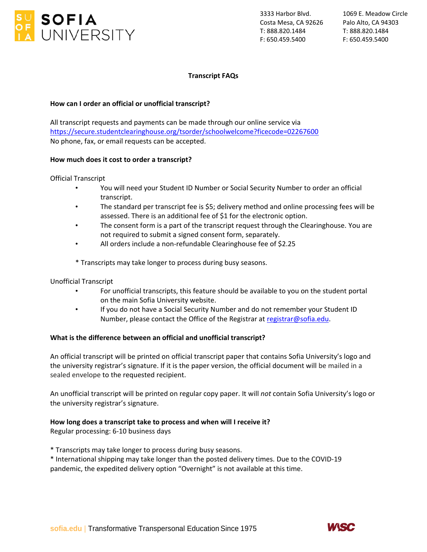

3333 Harbor Blvd. Costa Mesa, CA 92626 T: 888.820.1484 F: 650.459.5400

1069 E. Meadow Circle Palo Alto, CA 94303 T: 888.820.1484 F: 650.459.5400

## **Transcript FAQs**

### **How can I order an official or unofficial transcript?**

All transcript requests and payments can be made through our online service via https://secure.studentclearinghouse.org/tsorder/schoolwelcome?ficecode=02267600 No phone, fax, or email requests can be accepted.

### **How much does it cost to order a transcript?**

#### Official Transcript

- You will need your Student ID Number or Social Security Number to order an official transcript.
- The standard per transcript fee is \$5; delivery method and online processing fees will be assessed. There is an additional fee of \$1 for the electronic option.
- The consent form is a part of the transcript request through the Clearinghouse. You are not required to submit a signed consent form, separately.
- All orders include a non-refundable Clearinghouse fee of \$2.25

\* Transcripts may take longer to process during busy seasons.

#### Unofficial Transcript

- For unofficial transcripts, this feature should be available to you on the student portal on the main Sofia University website.
- If you do not have a Social Security Number and do not remember your Student ID Number, please contact the Office of the Registrar at registrar@sofia.edu.

#### **What is the difference between an official and unofficial transcript?**

An official transcript will be printed on official transcript paper that contains Sofia University's logo and the university registrar's signature. If it is the paper version, the official document will be mailed in a sealed envelope to the requested recipient.

An unofficial transcript will be printed on regular copy paper. It will *not* contain Sofia University's logo or the university registrar's signature.

## **How long does a transcript take to process and when will I receive it?**

Regular processing: 6-10 business days

\* Transcripts may take longer to process during busy seasons.

\* International shipping may take longer than the posted delivery times. Due to the COVID-19 pandemic, the expedited delivery option "Overnight" is not available at this time.